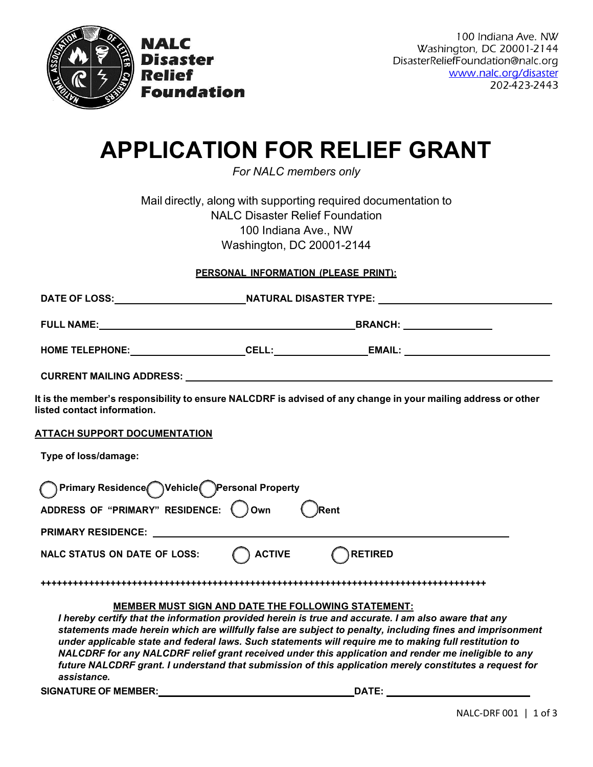

NALC

**Relief** 

**Disaster** 

Foundation

100 Indiana Ave. NW Washington, DC 20001-2144 DisasterReliefFoundation@nalc.org www.nalc.org/disaster 202-423-2443

# **APPLICATION FOR RELIEF GRANT**

*For NALC members only*

Mail directly, along with supporting required documentation to NALC Disaster Relief Foundation 100 Indiana Ave., NW Washington, DC 20001-2144

#### **PERSONAL INFORMATION (PLEASE PRINT):**

| <b>DATE OF LOSS:</b>            | <b>NATURAL DISASTER TYPE:</b> |                |  |
|---------------------------------|-------------------------------|----------------|--|
| <b>FULL NAME:</b>               |                               | <b>BRANCH:</b> |  |
| <b>HOME TELEPHONE:</b>          | CELL:                         | <b>EMAIL:</b>  |  |
| <b>CURRENT MAILING ADDRESS:</b> |                               |                |  |

It is the member's responsibility to ensure NALCDRF is advised of any change in your mailing address or other **listed contact information.**

**ATTACH SUPPORT DOCUMENTATION**

**Type of loss/damage:**

| Primary Residence Vehicle Personal Property                                                                         |               |                                                                                                                                                                                                                                                                                                                                                                                                                                        |
|---------------------------------------------------------------------------------------------------------------------|---------------|----------------------------------------------------------------------------------------------------------------------------------------------------------------------------------------------------------------------------------------------------------------------------------------------------------------------------------------------------------------------------------------------------------------------------------------|
| ADDRESS OF "PRIMARY" RESIDENCE:                                                                                     | Own<br>∕Rent  |                                                                                                                                                                                                                                                                                                                                                                                                                                        |
| <b>PRIMARY RESIDENCE:</b>                                                                                           |               |                                                                                                                                                                                                                                                                                                                                                                                                                                        |
| <b>NALC STATUS ON DATE OF LOSS:</b>                                                                                 | <b>ACTIVE</b> | <b>RETIRED</b>                                                                                                                                                                                                                                                                                                                                                                                                                         |
|                                                                                                                     |               |                                                                                                                                                                                                                                                                                                                                                                                                                                        |
| <b>MEMBER MUST SIGN AND DATE THE FOLLOWING STATEMENT:</b>                                                           |               |                                                                                                                                                                                                                                                                                                                                                                                                                                        |
| I hereby certify that the information provided herein is true and accurate. I am also aware that any<br>assistance. |               | statements made herein which are willfully false are subject to penalty, including fines and imprisonment<br>under applicable state and federal laws. Such statements will require me to making full restitution to<br>NALCDRF for any NALCDRF relief grant received under this application and render me ineligible to any<br>future NALCDRF grant. I understand that submission of this application merely constitutes a request for |

**SIGNATURE OF MEMBER: DATE:**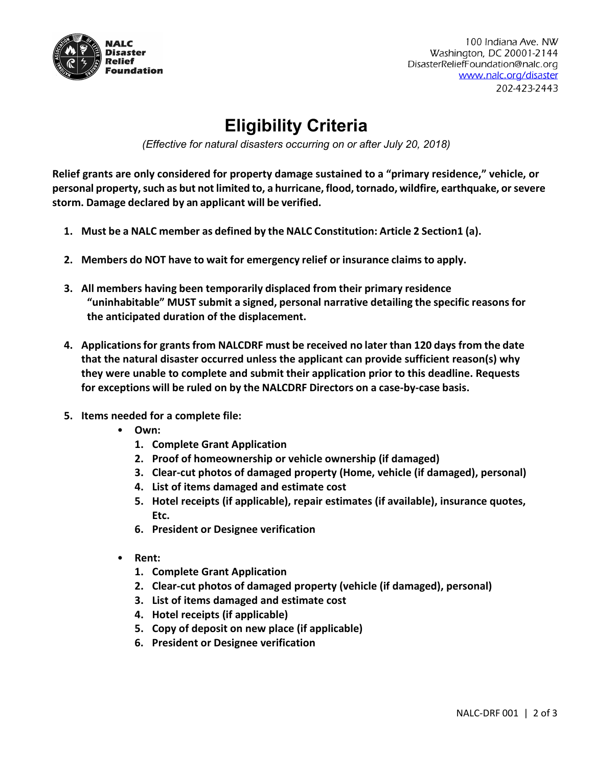

100 Indiana Ave. NW Washington, DC 20001-2144 DisasterReliefFoundation@nalc.org www.nalc.org/disaster 202-423-2443

## **Eligibility Criteria**

*(Effective for natural disasters occurring on or after July 20, 2018)*

**Relief grants are only considered for property damage sustained to a "primary residence," vehicle, or personal property,such as but not limited to, a hurricane, flood,tornado, wildfire, earthquake, orsevere storm. Damage declared by an applicant will be verified.**

- **1. Must be a NALC member as defined by the NALC Constitution: Article 2 Section1 (a).**
- **2. Members do NOT have to wait for emergency relief or insurance claims to apply.**
- **3. All members having been temporarily displaced from their primary residence "uninhabitable" MUST submit a signed, personal narrative detailing the specific reasons for the anticipated duration of the displacement.**
- **4. Applicationsfor grantsfrom NALCDRF must be received no later than 120 days from the date that the natural disaster occurred unless the applicant can provide sufficient reason(s) why they were unable to complete and submit their application prior to this deadline. Requests for exceptions will be ruled on by the NALCDRF Directors on a case‐by‐case basis.**
- **5. Items needed for a complete file:**
	- **Own:** 
		- **1. Complete Grant Application**
		- **2. Proof of homeownership or vehicle ownership (if damaged)**
		- **3. Clear-cut photos of damaged property (Home, vehicle (if damaged), personal)**
		- **4. List of items damaged and estimate cost**
		- **5. Hotel receipts (if applicable), repair estimates (if available), insurance quotes, Etc.**
		- **6. President or Designee verification**
	- **Rent:**
		- **1. Complete Grant Application**
		- **2. Clear-cut photos of damaged property (vehicle (if damaged), personal)**
		- **3. List of items damaged and estimate cost**
		- **4. Hotel receipts (if applicable)**
		- **5. Copy of deposit on new place (if applicable)**
		- **6. President or Designee verification**